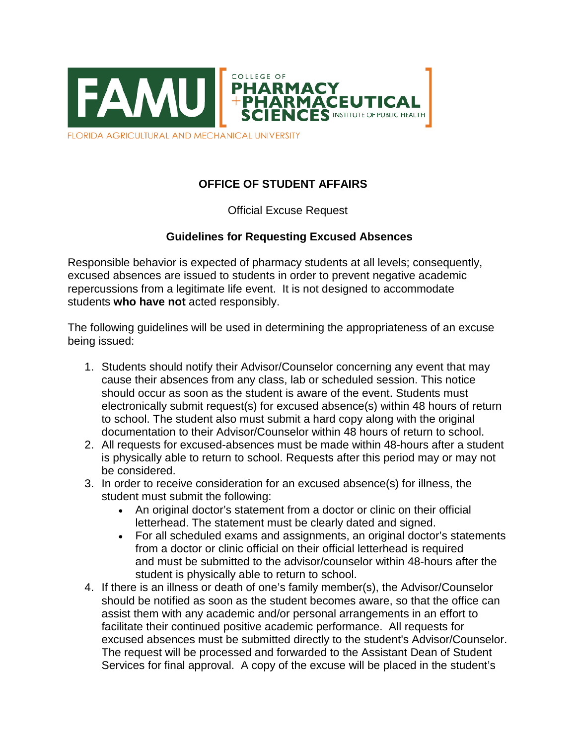

FLORIDA AGRICULTURAL AND MECHANICAL UNIVERSITY

## **OFFICE OF STUDENT AFFAIRS**

## Official Excuse Request

## **Guidelines for Requesting Excused Absences**

Responsible behavior is expected of pharmacy students at all levels; consequently, excused absences are issued to students in order to prevent negative academic repercussions from a legitimate life event. It is not designed to accommodate students **who have not** acted responsibly.

The following guidelines will be used in determining the appropriateness of an excuse being issued:

- 1. Students should notify their Advisor/Counselor concerning any event that may cause their absences from any class, lab or scheduled session. This notice should occur as soon as the student is aware of the event. Students must electronically submit request(s) for excused absence(s) within 48 hours of return to school. The student also must submit a hard copy along with the original documentation to their Advisor/Counselor within 48 hours of return to school.
- 2. All requests for excused-absences must be made within 48-hours after a student is physically able to return to school. Requests after this period may or may not be considered.
- 3. In order to receive consideration for an excused absence(s) for illness, the student must submit the following:
	- An original doctor's statement from a doctor or clinic on their official letterhead. The statement must be clearly dated and signed.
	- For all scheduled exams and assignments, an original doctor's statements from a doctor or clinic official on their official letterhead is required and must be submitted to the advisor/counselor within 48-hours after the student is physically able to return to school.
- 4. If there is an illness or death of one's family member(s), the Advisor/Counselor should be notified as soon as the student becomes aware, so that the office can assist them with any academic and/or personal arrangements in an effort to facilitate their continued positive academic performance. All requests for excused absences must be submitted directly to the student's Advisor/Counselor. The request will be processed and forwarded to the Assistant Dean of Student Services for final approval. A copy of the excuse will be placed in the student's